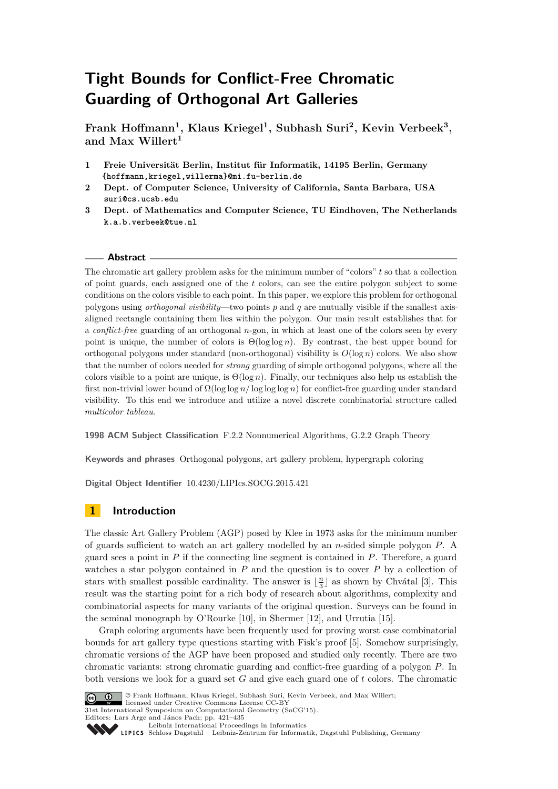**Frank Hoffmann<sup>1</sup> , Klaus Kriegel<sup>1</sup> , Subhash Suri<sup>2</sup> , Kevin Verbeek<sup>3</sup> , and Max Willert<sup>1</sup>**

- **1 Freie Universität Berlin, Institut für Informatik, 14195 Berlin, Germany {hoffmann,kriegel,willerma}@mi.fu-berlin.de**
- **2 Dept. of Computer Science, University of California, Santa Barbara, USA suri@cs.ucsb.edu**
- **3 Dept. of Mathematics and Computer Science, TU Eindhoven, The Netherlands k.a.b.verbeek@tue.nl**

## **Abstract**

The chromatic art gallery problem asks for the minimum number of "colors" *t* so that a collection of point guards, each assigned one of the *t* colors, can see the entire polygon subject to some conditions on the colors visible to each point. In this paper, we explore this problem for orthogonal polygons using *orthogonal visibility*—two points *p* and *q* are mutually visible if the smallest axisaligned rectangle containing them lies within the polygon. Our main result establishes that for a *conflict-free* guarding of an orthogonal *n*-gon, in which at least one of the colors seen by every point is unique, the number of colors is Θ(log log *n*). By contrast, the best upper bound for orthogonal polygons under standard (non-orthogonal) visibility is  $O(\log n)$  colors. We also show that the number of colors needed for *strong* guarding of simple orthogonal polygons, where all the colors visible to a point are unique, is Θ(log *n*). Finally, our techniques also help us establish the first non-trivial lower bound of Ω(log log *n/* log log log *n*) for conflict-free guarding under standard visibility. To this end we introduce and utilize a novel discrete combinatorial structure called *multicolor tableau*.

**1998 ACM Subject Classification** F.2.2 Nonnumerical Algorithms, G.2.2 Graph Theory

**Keywords and phrases** Orthogonal polygons, art gallery problem, hypergraph coloring

**Digital Object Identifier** [10.4230/LIPIcs.SOCG.2015.421](http://dx.doi.org/10.4230/LIPIcs.SOCG.2015.421)

# **1 Introduction**

The classic Art Gallery Problem (AGP) posed by Klee in 1973 asks for the minimum number of guards sufficient to watch an art gallery modelled by an *n*-sided simple polygon *P*. A guard sees a point in *P* if the connecting line segment is contained in *P*. Therefore, a guard watches a star polygon contained in *P* and the question is to cover *P* by a collection of stars with smallest possible cardinality. The answer is  $\lfloor \frac{n}{3} \rfloor$  as shown by Chvátal [\[3\]](#page-13-0). This result was the starting point for a rich body of research about algorithms, complexity and combinatorial aspects for many variants of the original question. Surveys can be found in the seminal monograph by O'Rourke [\[10\]](#page-13-1), in Shermer [\[12\]](#page-13-2), and Urrutia [\[15\]](#page-14-0).

Graph coloring arguments have been frequently used for proving worst case combinatorial bounds for art gallery type questions starting with Fisk's proof [\[5\]](#page-13-3). Somehow surprisingly, chromatic versions of the AGP have been proposed and studied only recently. There are two chromatic variants: strong chromatic guarding and conflict-free guarding of a polygon *P*. In both versions we look for a guard set *G* and give each guard one of *t* colors. The chromatic



© Frank Hoffmann, Klaus Kriegel, Subhash Suri, Kevin Verbeek, and Max Willert; licensed under Creative Commons License CC-BY 31st International Symposium on Computational Geometry (SoCG'15). Editors: Lars Arge and János Pach; pp. 421[–435](#page-14-1) [Leibniz International Proceedings in Informatics](http://www.dagstuhl.de/lipics/)

Leibniz international Floretungs in miximismos<br>
LIPICS [Schloss Dagstuhl – Leibniz-Zentrum für Informatik, Dagstuhl Publishing, Germany](http://www.dagstuhl.de)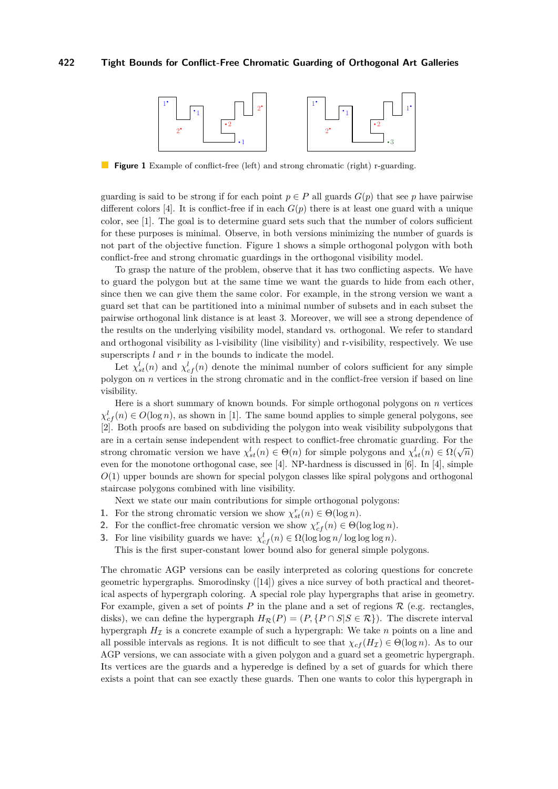<span id="page-1-0"></span>

**Figure 1** Example of conflict-free (left) and strong chromatic (right) r-guarding.

guarding is said to be strong if for each point  $p \in P$  all guards  $G(p)$  that see p have pairwise different colors [\[4\]](#page-13-4). It is conflict-free if in each  $G(p)$  there is at least one guard with a unique color, see [\[1\]](#page-13-5). The goal is to determine guard sets such that the number of colors sufficient for these purposes is minimal. Observe, in both versions minimizing the number of guards is not part of the objective function. Figure [1](#page-1-0) shows a simple orthogonal polygon with both conflict-free and strong chromatic guardings in the orthogonal visibility model.

To grasp the nature of the problem, observe that it has two conflicting aspects. We have to guard the polygon but at the same time we want the guards to hide from each other, since then we can give them the same color. For example, in the strong version we want a guard set that can be partitioned into a minimal number of subsets and in each subset the pairwise orthogonal link distance is at least 3. Moreover, we will see a strong dependence of the results on the underlying visibility model, standard vs. orthogonal. We refer to standard and orthogonal visibility as l-visibility (line visibility) and r-visibility, respectively. We use superscripts *l* and *r* in the bounds to indicate the model.

Let  $\chi^l_{st}(n)$  and  $\chi^l_{cf}(n)$  denote the minimal number of colors sufficient for any simple polygon on *n* vertices in the strong chromatic and in the conflict-free version if based on line visibility.

Here is a short summary of known bounds. For simple orthogonal polygons on *n* vertices  $\chi^l_{cf}(n) \in O(\log n)$ , as shown in [\[1\]](#page-13-5). The same bound applies to simple general polygons, see [\[2\]](#page-13-6). Both proofs are based on subdividing the polygon into weak visibility subpolygons that are in a certain sense independent with respect to conflict-free chromatic guarding. For the strong chromatic version we have  $\chi^l_{st}(n) \in \Theta(n)$  for simple polygons and  $\chi^l_{st}(n) \in \Omega(\sqrt{n})$ even for the monotone orthogonal case, see [\[4\]](#page-13-4). NP-hardness is discussed in [\[6\]](#page-13-7). In [\[4\]](#page-13-4), simple *O*(1) upper bounds are shown for special polygon classes like spiral polygons and orthogonal staircase polygons combined with line visibility.

Next we state our main contributions for simple orthogonal polygons:

- **1.** For the strong chromatic version we show  $\chi^r_{st}(n) \in \Theta(\log n)$ .
- **2.** For the conflict-free chromatic version we show  $\chi_{cf}^r(n) \in \Theta(\log \log n)$ .
- **3.** For line visibility guards we have:  $\chi^l_{cf}(n) \in \Omega(\log \log n / \log \log \log n)$ .

This is the first super-constant lower bound also for general simple polygons.

The chromatic AGP versions can be easily interpreted as coloring questions for concrete geometric hypergraphs. Smorodinsky ([\[14\]](#page-14-2)) gives a nice survey of both practical and theoretical aspects of hypergraph coloring. A special role play hypergraphs that arise in geometry. For example, given a set of points  $P$  in the plane and a set of regions  $\mathcal R$  (e.g. rectangles, disks), we can define the hypergraph  $H_{\mathcal{R}}(P) = (P, \{P \cap S | S \in \mathcal{R}\})$ . The discrete interval hypergraph  $H<sub>\mathcal{I}</sub>$  is a concrete example of such a hypergraph: We take *n* points on a line and all possible intervals as regions. It is not difficult to see that  $\chi_{cf}(H_{\mathcal{I}}) \in \Theta(\log n)$ . As to our AGP versions, we can associate with a given polygon and a guard set a geometric hypergraph. Its vertices are the guards and a hyperedge is defined by a set of guards for which there exists a point that can see exactly these guards. Then one wants to color this hypergraph in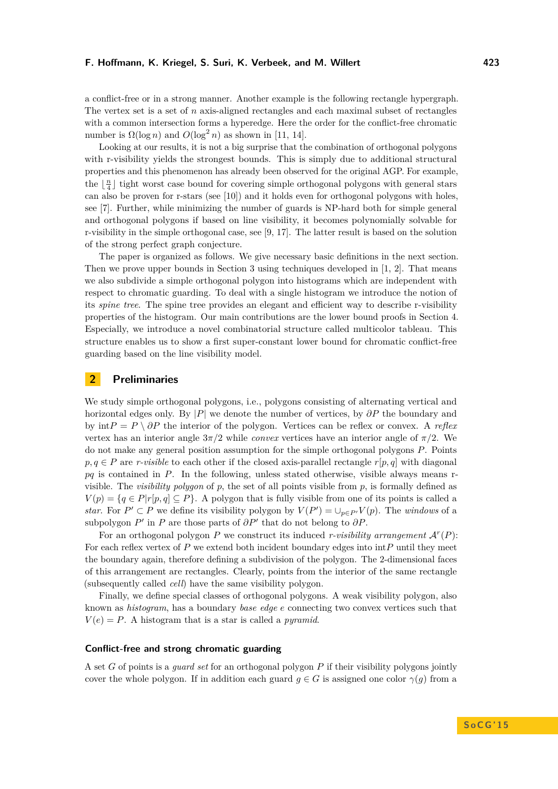a conflict-free or in a strong manner. Another example is the following rectangle hypergraph. The vertex set is a set of *n* axis-aligned rectangles and each maximal subset of rectangles with a common intersection forms a hyperedge. Here the order for the conflict-free chromatic number is  $\Omega(\log n)$  and  $O(\log^2 n)$  as shown in [\[11,](#page-13-8) [14\]](#page-14-2).

Looking at our results, it is not a big surprise that the combination of orthogonal polygons with r-visibility yields the strongest bounds. This is simply due to additional structural properties and this phenomenon has already been observed for the original AGP. For example, the  $\lfloor \frac{n}{4} \rfloor$  tight worst case bound for covering simple orthogonal polygons with general stars can also be proven for r-stars (see [\[10\]](#page-13-1)) and it holds even for orthogonal polygons with holes, see [\[7\]](#page-13-9). Further, while minimizing the number of guards is NP-hard both for simple general and orthogonal polygons if based on line visibility, it becomes polynomially solvable for r-visibility in the simple orthogonal case, see [\[9,](#page-13-10) [17\]](#page-14-3). The latter result is based on the solution of the strong perfect graph conjecture.

The paper is organized as follows. We give necessary basic definitions in the next section. Then we prove upper bounds in Section 3 using techniques developed in [\[1,](#page-13-5) [2\]](#page-13-6). That means we also subdivide a simple orthogonal polygon into histograms which are independent with respect to chromatic guarding. To deal with a single histogram we introduce the notion of its *spine tree*. The spine tree provides an elegant and efficient way to describe r-visibility properties of the histogram. Our main contributions are the lower bound proofs in Section 4. Especially, we introduce a novel combinatorial structure called multicolor tableau. This structure enables us to show a first super-constant lower bound for chromatic conflict-free guarding based on the line visibility model.

# **2 Preliminaries**

We study simple orthogonal polygons, i.e., polygons consisting of alternating vertical and horizontal edges only. By |*P*| we denote the number of vertices, by *∂P* the boundary and by  $\int \ln P = P \setminus \partial P$  the interior of the polygon. Vertices can be reflex or convex. A *reflex* vertex has an interior angle  $3\pi/2$  while *convex* vertices have an interior angle of  $\pi/2$ . We do not make any general position assumption for the simple orthogonal polygons *P*. Points  $p, q \in P$  are *r-visible* to each other if the closed axis-parallel rectangle  $r[p, q]$  with diagonal *pq* is contained in *P*. In the following, unless stated otherwise, visible always means rvisible. The *visibility polygon* of  $p$ , the set of all points visible from  $p$ , is formally defined as  $V(p) = \{q \in P | r[p, q] \subseteq P\}$ . A polygon that is fully visible from one of its points is called a *star*. For  $P' \subset P$  we define its visibility polygon by  $V(P') = \bigcup_{p \in P'} V(p)$ . The *windows* of a subpolygon  $P'$  in  $P$  are those parts of  $\partial P'$  that do not belong to  $\partial P$ .

For an orthogonal polygon  $P$  we construct its induced *r-visibility arrangement*  $\mathcal{A}^r(P)$ : For each reflex vertex of *P* we extend both incident boundary edges into int*P* until they meet the boundary again, therefore defining a subdivision of the polygon. The 2-dimensional faces of this arrangement are rectangles. Clearly, points from the interior of the same rectangle (subsequently called *cell*) have the same visibility polygon.

Finally, we define special classes of orthogonal polygons. A weak visibility polygon, also known as *histogram*, has a boundary *base edge e* connecting two convex vertices such that  $V(e) = P$ . A histogram that is a star is called a *pyramid*.

## **Conflict-free and strong chromatic guarding**

A set *G* of points is a *guard set* for an orthogonal polygon *P* if their visibility polygons jointly cover the whole polygon. If in addition each guard  $g \in G$  is assigned one color  $\gamma(g)$  from a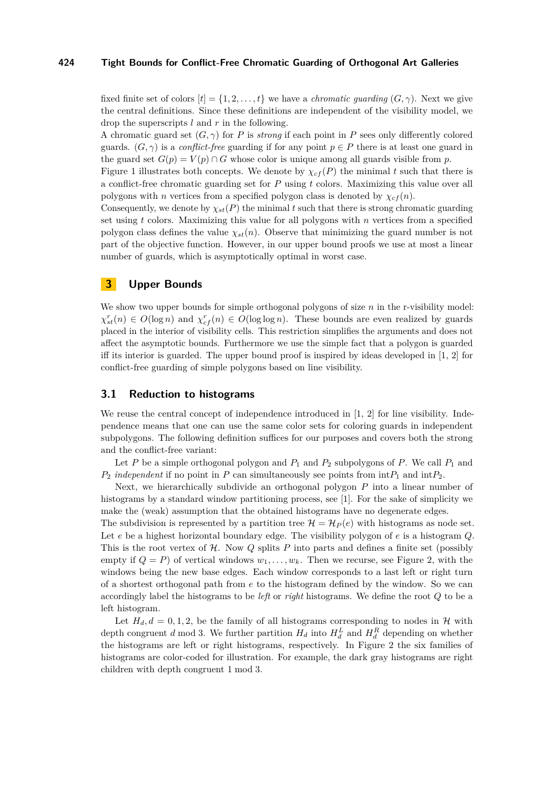fixed finite set of colors  $[t] = \{1, 2, \ldots, t\}$  we have a *chromatic quarding*  $(G, \gamma)$ . Next we give the central definitions. Since these definitions are independent of the visibility model, we drop the superscripts *l* and *r* in the following.

A chromatic guard set  $(G, \gamma)$  for *P* is *strong* if each point in *P* sees only differently colored guards.  $(G, \gamma)$  is a *conflict-free* guarding if for any point  $p \in P$  there is at least one guard in the guard set  $G(p) = V(p) \cap G$  whose color is unique among all guards visible from p.

Figure [1](#page-1-0) illustrates both concepts. We denote by  $\chi_{cf}(P)$  the minimal *t* such that there is a conflict-free chromatic guarding set for *P* using *t* colors. Maximizing this value over all polygons with *n* vertices from a specified polygon class is denoted by  $\chi_{cf}(n)$ .

Consequently, we denote by  $\chi_{st}(P)$  the minimal t such that there is strong chromatic guarding set using *t* colors. Maximizing this value for all polygons with *n* vertices from a specified polygon class defines the value  $\chi_{st}(n)$ . Observe that minimizing the guard number is not part of the objective function. However, in our upper bound proofs we use at most a linear number of guards, which is asymptotically optimal in worst case.

# **3 Upper Bounds**

We show two upper bounds for simple orthogonal polygons of size *n* in the r-visibility model:  $\chi^r_{st}(n) \in O(\log n)$  and  $\chi^r_{cf}(n) \in O(\log \log n)$ . These bounds are even realized by guards placed in the interior of visibility cells. This restriction simplifies the arguments and does not affect the asymptotic bounds. Furthermore we use the simple fact that a polygon is guarded iff its interior is guarded. The upper bound proof is inspired by ideas developed in  $[1, 2]$  $[1, 2]$  $[1, 2]$  for conflict-free guarding of simple polygons based on line visibility.

# **3.1 Reduction to histograms**

We reuse the central concept of independence introduced in [\[1,](#page-13-5) [2\]](#page-13-6) for line visibility. Independence means that one can use the same color sets for coloring guards in independent subpolygons. The following definition suffices for our purposes and covers both the strong and the conflict-free variant:

Let  $P$  be a simple orthogonal polygon and  $P_1$  and  $P_2$  subpolygons of  $P$ . We call  $P_1$  and  $P_2$  *independent* if no point in *P* can simultaneously see points from  $\int$ nt $P_1$  and  $\int$ nt $P_2$ .

Next, we hierarchically subdivide an orthogonal polygon *P* into a linear number of histograms by a standard window partitioning process, see [\[1\]](#page-13-5). For the sake of simplicity we make the (weak) assumption that the obtained histograms have no degenerate edges.

The subdivision is represented by a partition tree  $\mathcal{H} = \mathcal{H}_P(e)$  with histograms as node set. Let *e* be a highest horizontal boundary edge. The visibility polygon of *e* is a histogram *Q*. This is the root vertex of  $H$ . Now  $Q$  splits  $P$  into parts and defines a finite set (possibly empty if  $Q = P$ ) of vertical windows  $w_1, \ldots, w_k$ . Then we recurse, see Figure [2,](#page-4-0) with the windows being the new base edges. Each window corresponds to a last left or right turn of a shortest orthogonal path from *e* to the histogram defined by the window. So we can accordingly label the histograms to be *left* or *right* histograms. We define the root *Q* to be a left histogram.

Let  $H_d$ ,  $d = 0, 1, 2$ , be the family of all histograms corresponding to nodes in  $H$  with depth congruent *d* mod 3. We further partition  $H_d$  into  $H_d^L$  and  $H_d^R$  depending on whether the histograms are left or right histograms, respectively. In Figure [2](#page-4-0) the six families of histograms are color-coded for illustration. For example, the dark gray histograms are right children with depth congruent 1 mod 3.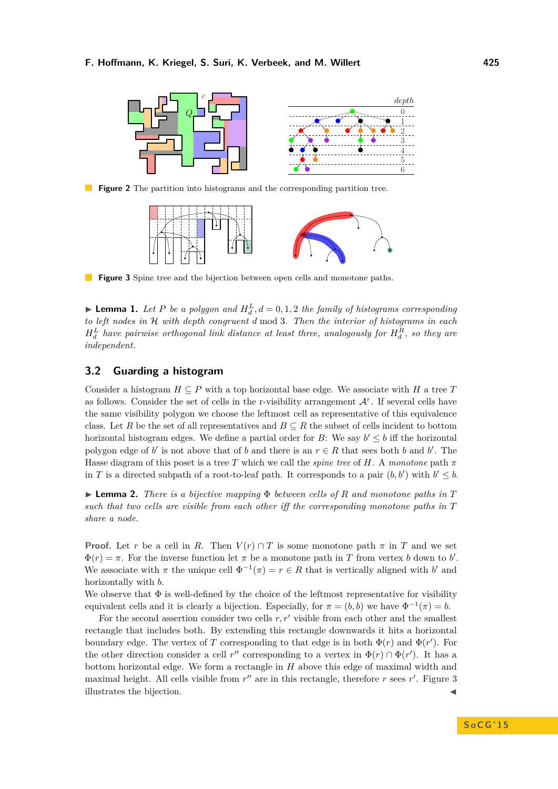<span id="page-4-0"></span>

<span id="page-4-1"></span>**Figure 2** The partition into histograms and the corresponding partition tree.



**Figure 3** Spine tree and the bijection between open cells and monotone paths.

**Lemma 1.** Let P be a polygon and  $H_d^L$ ,  $d = 0, 1, 2$  the family of histograms corresponding *to left nodes in* H *with depth congruent d* mod 3*. Then the interior of histograms in each*  $H_d^L$  have pairwise orthogonal link distance at least three, analogously for  $H_d^R$ , so they are *independent.*

# **3.2 Guarding a histogram**

Consider a histogram  $H \subseteq P$  with a top horizontal base edge. We associate with *H* a tree *T* as follows. Consider the set of cells in the r-visibility arrangement  $A<sup>r</sup>$ . If several cells have the same visibility polygon we choose the leftmost cell as representative of this equivalence class. Let *R* be the set of all representatives and  $B \subseteq R$  the subset of cells incident to bottom horizontal histogram edges. We define a partial order for *B*: We say  $b' \leq b$  iff the horizontal polygon edge of *b*' is not above that of *b* and there is an  $r \in R$  that sees both *b* and *b*'. The Hasse diagram of this poset is a tree *T* which we call the *spine tree* of *H*. A *monotone* path  $\pi$ in *T* is a directed subpath of a root-to-leaf path. It corresponds to a pair  $(b, b')$  with  $b' \leq b$ .

I **Lemma 2.** *There is a bijective mapping* Φ *between cells of R and monotone paths in T such that two cells are visible from each other iff the corresponding monotone paths in T share a node.*

**Proof.** Let *r* be a cell in *R*. Then  $V(r) \cap T$  is some monotone path  $\pi$  in *T* and we set  $\Phi(r) = \pi$ . For the inverse function let  $\pi$  be a monotone path in *T* from vertex *b* down to *b'*. We associate with  $\pi$  the unique cell  $\Phi^{-1}(\pi) = r \in R$  that is vertically aligned with *b*' and horizontally with *b*.

We observe that  $\Phi$  is well-defined by the choice of the leftmost representative for visibility equivalent cells and it is clearly a bijection. Especially, for  $\pi = (b, b)$  we have  $\Phi^{-1}(\pi) = b$ .

For the second assertion consider two cells  $r, r'$  visible from each other and the smallest rectangle that includes both. By extending this rectangle downwards it hits a horizontal boundary edge. The vertex of *T* corresponding to that edge is in both  $\Phi(r)$  and  $\Phi(r')$ . For the other direction consider a cell  $r''$  corresponding to a vertex in  $\Phi(r) \cap \Phi(r')$ . It has a bottom horizontal edge. We form a rectangle in *H* above this edge of maximal width and maximal height. All cells visible from  $r''$  are in this rectangle, therefore  $r$  sees  $r'$ . Figure [3](#page-4-1) illustrates the bijection.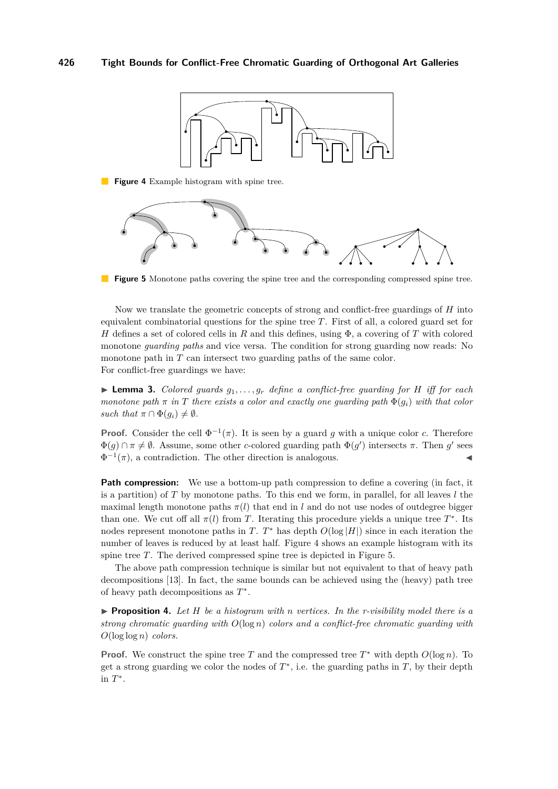<span id="page-5-0"></span>

**Figure 4** Example histogram with spine tree.

<span id="page-5-1"></span>

**Figure 5** Monotone paths covering the spine tree and the corresponding compressed spine tree.

Now we translate the geometric concepts of strong and conflict-free guardings of *H* into equivalent combinatorial questions for the spine tree *T*. First of all, a colored guard set for *H* defines a set of colored cells in *R* and this defines, using Φ, a covering of *T* with colored monotone *guarding paths* and vice versa. The condition for strong guarding now reads: No monotone path in *T* can intersect two guarding paths of the same color. For conflict-free guardings we have:

 $\blacktriangleright$  **Lemma 3.** *Colored guards*  $g_1, \ldots, g_r$  *define a conflict-free guarding for H iff for each monotone path*  $\pi$  *in*  $T$  *there exists a color and exactly one guarding path*  $\Phi(q_i)$  *with that color such that*  $\pi \cap \Phi(g_i) \neq \emptyset$ .

**Proof.** Consider the cell  $\Phi^{-1}(\pi)$ . It is seen by a guard *g* with a unique color *c*. Therefore  $\Phi(g) \cap \pi \neq \emptyset$ . Assume, some other *c*-colored guarding path  $\Phi(g')$  intersects  $\pi$ . Then *g*' sees  $\Phi^{-1}(\pi)$ , a contradiction. The other direction is analogous.

**Path compression:** We use a bottom-up path compression to define a covering (in fact, it is a partition) of  $T$  by monotone paths. To this end we form, in parallel, for all leaves  $l$  the maximal length monotone paths  $\pi(l)$  that end in *l* and do not use nodes of outdegree bigger than one. We cut off all  $\pi(l)$  from *T*. Iterating this procedure yields a unique tree  $T^*$ . Its nodes represent monotone paths in *T*.  $T^*$  has depth  $O(\log|H|)$  since in each iteration the number of leaves is reduced by at least half. Figure [4](#page-5-0) shows an example histogram with its spine tree *T*. The derived compressed spine tree is depicted in Figure [5.](#page-5-1)

The above path compression technique is similar but not equivalent to that of heavy path decompositions [\[13\]](#page-13-11). In fact, the same bounds can be achieved using the (heavy) path tree of heavy path decompositions as *T* ∗ .

<span id="page-5-2"></span> $\triangleright$  **Proposition 4.** Let *H* be a histogram with *n* vertices. In the *r*-visibility model there is a *strong chromatic guarding with O*(log *n*) *colors and a conflict-free chromatic guarding with O*(log log *n*) *colors.*

**Proof.** We construct the spine tree *T* and the compressed tree  $T^*$  with depth  $O(\log n)$ . To get a strong guarding we color the nodes of  $T^*$ , i.e. the guarding paths in  $T$ , by their depth in *T* ∗ .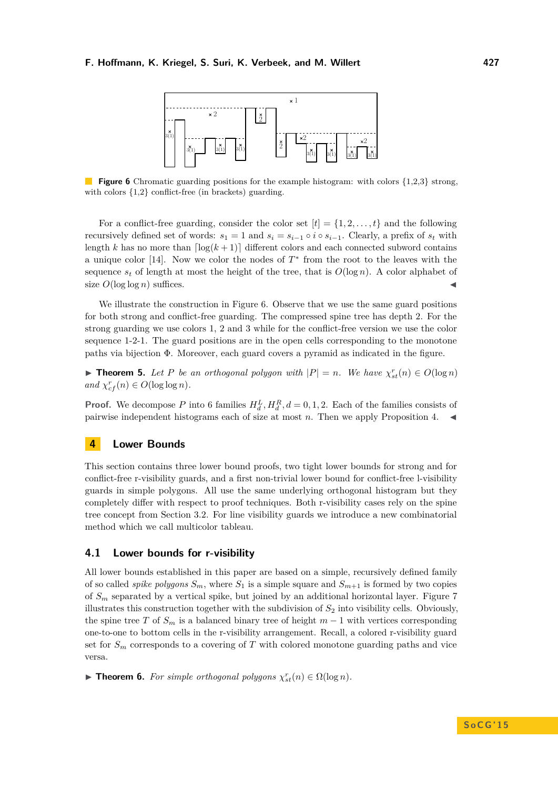<span id="page-6-0"></span>

**Figure 6** Chromatic guarding positions for the example histogram: with colors {1,2,3} strong, with colors  $\{1,2\}$  conflict-free (in brackets) guarding.

For a conflict-free guarding, consider the color set  $[t] = \{1, 2, \ldots, t\}$  and the following recursively defined set of words:  $s_1 = 1$  and  $s_i = s_{i-1} \circ i \circ s_{i-1}$ . Clearly, a prefix of  $s_t$  with length *k* has no more than  $\lceil \log(k+1) \rceil$  different colors and each connected subword contains a unique color [\[14\]](#page-14-2). Now we color the nodes of  $T^*$  from the root to the leaves with the sequence  $s_t$  of length at most the height of the tree, that is  $O(\log n)$ . A color alphabet of size  $O(\log \log n)$  suffices.

We illustrate the construction in Figure [6.](#page-6-0) Observe that we use the same guard positions for both strong and conflict-free guarding. The compressed spine tree has depth 2. For the strong guarding we use colors 1, 2 and 3 while for the conflict-free version we use the color sequence 1-2-1. The guard positions are in the open cells corresponding to the monotone paths via bijection Φ. Moreover, each guard covers a pyramid as indicated in the figure.

<span id="page-6-1"></span>► **Theorem 5.** Let P be an orthogonal polygon with  $|P| = n$ . We have  $\chi_{st}^r(n) \in O(\log n)$  $and \ \chi_{cf}^r(n) \in O(\log \log n).$ 

**Proof.** We decompose P into 6 families  $H_d^L$ ,  $H_d^R$ ,  $d = 0, 1, 2$ . Each of the families consists of pairwise independent histograms each of size at most  $n$ . Then we apply Proposition [4.](#page-5-2)

# **4 Lower Bounds**

This section contains three lower bound proofs, two tight lower bounds for strong and for conflict-free r-visibility guards, and a first non-trivial lower bound for conflict-free l-visibility guards in simple polygons. All use the same underlying orthogonal histogram but they completely differ with respect to proof techniques. Both r-visibility cases rely on the spine tree concept from Section 3.2. For line visibility guards we introduce a new combinatorial method which we call multicolor tableau.

# **4.1 Lower bounds for r-visibility**

All lower bounds established in this paper are based on a simple, recursively defined family of so called *spike polygons*  $S_m$ , where  $S_1$  is a simple square and  $S_{m+1}$  is formed by two copies of *S<sup>m</sup>* separated by a vertical spike, but joined by an additional horizontal layer. Figure [7](#page-8-0) illustrates this construction together with the subdivision of *S*<sup>2</sup> into visibility cells. Obviously, the spine tree *T* of  $S_m$  is a balanced binary tree of height  $m-1$  with vertices corresponding one-to-one to bottom cells in the r-visibility arrangement. Recall, a colored r-visibility guard set for  $S_m$  corresponds to a covering of  $T$  with colored monotone guarding paths and vice versa.

 $▶$  **Theorem 6.** *For simple orthogonal polygons*  $\chi^r_{st}(n) \in \Omega(\log n)$ *.*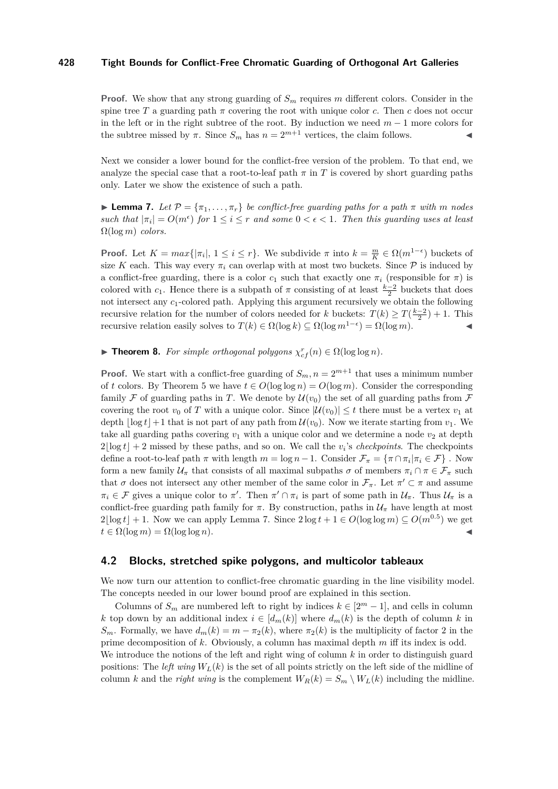**Proof.** We show that any strong guarding of  $S_m$  requires *m* different colors. Consider in the spine tree *T* a guarding path  $\pi$  covering the root with unique color *c*. Then *c* does not occur in the left or in the right subtree of the root. By induction we need *m* − 1 more colors for the subtree missed by  $\pi$ . Since  $S_m$  has  $n = 2^{m+1}$  vertices, the claim follows.

Next we consider a lower bound for the conflict-free version of the problem. To that end, we analyze the special case that a root-to-leaf path  $\pi$  in T is covered by short guarding paths only. Later we show the existence of such a path.

<span id="page-7-0"></span>**Lemma 7.** *Let*  $\mathcal{P} = {\pi_1, \ldots, \pi_r}$  *be conflict-free guarding paths for a path*  $\pi$  *with*  $m$  *nodes such that*  $|\pi_i| = O(m^{\epsilon})$  *for*  $1 \leq i \leq r$  *and some*  $0 < \epsilon < 1$ *. Then this guarding uses at least*  $\Omega(\log m)$  *colors.* 

**Proof.** Let  $K = max\{|\pi_i|, 1 \le i \le r\}$ . We subdivide  $\pi$  into  $k = \frac{m}{K} \in \Omega(m^{1-\epsilon})$  buckets of size K each. This way every  $\pi_i$  can overlap with at most two buckets. Since  $P$  is induced by a conflict-free guarding, there is a color  $c_1$  such that exactly one  $\pi_i$  (responsible for  $\pi$ ) is colored with *c*<sub>1</sub>. Hence there is a subpath of  $\pi$  consisting of at least  $\frac{k-2}{2}$  buckets that does not intersect any *c*1-colored path. Applying this argument recursively we obtain the following recursive relation for the number of colors needed for *k* buckets:  $T(k) \ge T(\frac{k-2}{2}) + 1$ . This recursive relation easily solves to  $T(k) \in \Omega(\log k) \subseteq \Omega(\log m^{1-\epsilon}) = \Omega(\log m)$ .

**Fineorem 8.** *For simple orthogonal polygons*  $\chi_{cf}^r(n) \in \Omega(\log \log n)$ *.* 

**Proof.** We start with a conflict-free guarding of  $S_m$ ,  $n = 2^{m+1}$  that uses a minimum number of *t* colors. By Theorem [5](#page-6-1) we have  $t \in O(\log \log n) = O(\log m)$ . Consider the corresponding family F of guarding paths in T. We denote by  $\mathcal{U}(v_0)$  the set of all guarding paths from F covering the root  $v_0$  of *T* with a unique color. Since  $|\mathcal{U}(v_0)| \leq t$  there must be a vertex  $v_1$  at depth  $\log t$  + 1 that is not part of any path from  $U(v_0)$ . Now we iterate starting from  $v_1$ . We take all guarding paths covering  $v_1$  with a unique color and we determine a node  $v_2$  at depth  $2\lfloor \log t \rfloor + 2$  missed by these paths, and so on. We call the *v*<sub>i</sub>'s *checkpoints*. The checkpoints define a root-to-leaf path  $\pi$  with length  $m = \log n - 1$ . Consider  $\mathcal{F}_{\pi} = \{\pi \cap \pi_i | \pi_i \in \mathcal{F}\}\.$  Now form a new family  $\mathcal{U}_\pi$  that consists of all maximal subpaths  $\sigma$  of members  $\pi_i \cap \pi \in \mathcal{F}_\pi$  such that  $\sigma$  does not intersect any other member of the same color in  $\mathcal{F}_{\pi}$ . Let  $\pi' \subset \pi$  and assume  $\pi_i \in \mathcal{F}$  gives a unique color to  $\pi'$ . Then  $\pi' \cap \pi_i$  is part of some path in  $\mathcal{U}_{\pi}$ . Thus  $\mathcal{U}_{\pi}$  is a conflict-free guarding path family for  $\pi$ . By construction, paths in  $\mathcal{U}_{\pi}$  have length at most  $2\lfloor \log t \rfloor + 1$ . Now we can apply Lemma [7.](#page-7-0) Since  $2\log t + 1 \in O(\log \log m) \subseteq O(m^{0.5})$  we get  $t \in \Omega(\log m) = \Omega(\log \log n).$ 

## **4.2 Blocks, stretched spike polygons, and multicolor tableaux**

We now turn our attention to conflict-free chromatic guarding in the line visibility model. The concepts needed in our lower bound proof are explained in this section.

Columns of  $S_m$  are numbered left to right by indices  $k \in [2^m - 1]$ , and cells in column *k* top down by an additional index  $i \in [d_m(k)]$  where  $d_m(k)$  is the depth of column *k* in *S<sub>m</sub>*. Formally, we have  $d_m(k) = m - \pi_2(k)$ , where  $\pi_2(k)$  is the multiplicity of factor 2 in the prime decomposition of *k*. Obviously, a column has maximal depth *m* iff its index is odd. We introduce the notions of the left and right wing of column *k* in order to distinguish guard

positions: The *left wing*  $W_L(k)$  is the set of all points strictly on the left side of the midline of column *k* and the *right wing* is the complement  $W_R(k) = S_m \setminus W_L(k)$  including the midline.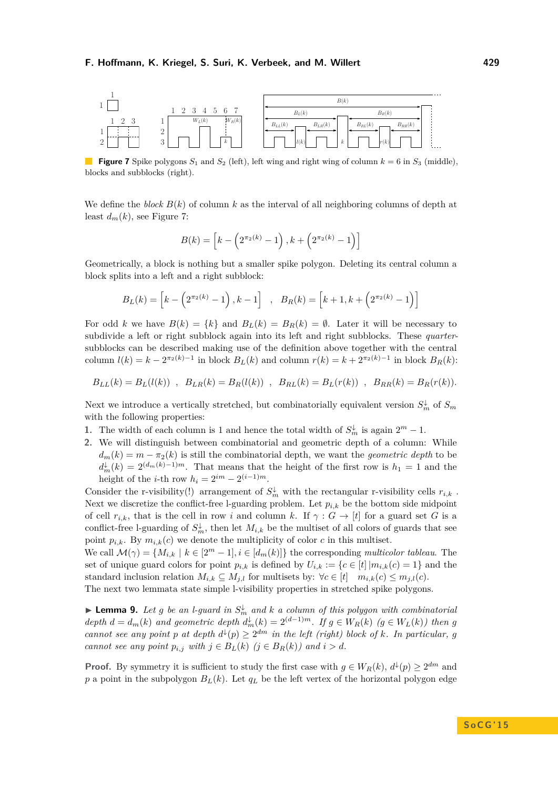<span id="page-8-0"></span>

**Figure 7** Spike polygons  $S_1$  and  $S_2$  (left), left wing and right wing of column  $k = 6$  in  $S_3$  (middle). blocks and subblocks (right).

We define the *block*  $B(k)$  of column k as the interval of all neighboring columns of depth at least  $d_m(k)$ , see Figure [7:](#page-8-0)

$$
B(k) = \left[k - \left(2^{\pi_2(k)} - 1\right), k + \left(2^{\pi_2(k)} - 1\right)\right]
$$

Geometrically, a block is nothing but a smaller spike polygon. Deleting its central column a block splits into a left and a right subblock:

$$
B_L(k) = \left[k - \left(2^{\pi_2(k)} - 1\right), k - 1\right], \quad B_R(k) = \left[k + 1, k + \left(2^{\pi_2(k)} - 1\right)\right]
$$

For odd *k* we have  $B(k) = \{k\}$  and  $B_L(k) = B_R(k) = \emptyset$ . Later it will be necessary to subdivide a left or right subblock again into its left and right subblocks. These *quarter*subblocks can be described making use of the definition above together with the central column  $l(k) = k - 2^{\pi_2(k)-1}$  in block  $B_L(k)$  and column  $r(k) = k + 2^{\pi_2(k)-1}$  in block  $B_R(k)$ :

$$
B_{LL}(k) = B_L(l(k)) \, , \, B_{LR}(k) = B_R(l(k)) \, , \, B_{RL}(k) = B_L(r(k)) \, , \, B_{RR}(k) = B_R(r(k)).
$$

Next we introduce a vertically stretched, but combinatorially equivalent version  $S_m^{\downarrow}$  of  $S_m$ with the following properties:

- **1.** The width of each column is 1 and hence the total width of  $S_m^{\downarrow}$  is again  $2^m 1$ .
- **2.** We will distinguish between combinatorial and geometric depth of a column: While  $d_m(k) = m - \pi_2(k)$  is still the combinatorial depth, we want the *geometric depth* to be  $d_m^{\downarrow}(k) = 2^{(d_m(k)-1)m}$ . That means that the height of the first row is  $h_1 = 1$  and the height of the *i*-th row  $h_i = 2^{i m} - 2^{(i-1)m}$ .

Consider the r-visibility(!) arrangement of  $S_m^{\downarrow}$  with the rectangular r-visibility cells  $r_{i,k}$ . Next we discretize the conflict-free l-guarding problem. Let  $p_{i,k}$  be the bottom side midpoint of cell  $r_{i,k}$ , that is the cell in row *i* and column *k*. If  $\gamma : G \to [t]$  for a guard set *G* is a conflict-free l-guarding of  $S_m^{\downarrow}$ , then let  $M_{i,k}$  be the multiset of all colors of guards that see point  $p_{i,k}$ . By  $m_{i,k}(c)$  we denote the multiplicity of color  $c$  in this multiset.

We call  $\mathcal{M}(\gamma) = \{M_{i,k} \mid k \in [2^m-1], i \in [d_m(k)]\}$  the corresponding *multicolor tableau*. The set of unique guard colors for point  $p_{i,k}$  is defined by  $U_{i,k} := \{c \in [t] | m_{i,k}(c) = 1\}$  and the standard inclusion relation  $M_{i,k} \subseteq M_{j,l}$  for multisets by:  $\forall c \in [t]$   $m_{i,k}(c) \leq m_{j,l}(c)$ . The next two lemmata state simple l-visibility properties in stretched spike polygons.

<span id="page-8-1"></span>**Example 10.** Let g be an *l*-guard in  $S_m^{\downarrow}$  and *k* a column of this polygon with combinatorial depth  $d = d_m(k)$  and geometric depth  $d_m^{\downarrow}(k) = 2^{(d-1)m}$ . If  $g \in W_R(k)$   $(g \in W_L(k))$  then g *cannot see any point p at depth*  $d^{\downarrow}(p) \geq 2^{dm}$  *in the left (right) block of k. In particular, g cannot see any point*  $p_{i,j}$  *with*  $j \in B_L(k)$  ( $j \in B_R(k)$ ) and  $i > d$ .

**Proof.** By symmetry it is sufficient to study the first case with  $g \in W_R(k)$ ,  $d^{\downarrow}(p) \geq 2^{dm}$  and *p* a point in the subpolygon  $B_L(k)$ . Let  $q_L$  be the left vertex of the horizontal polygon edge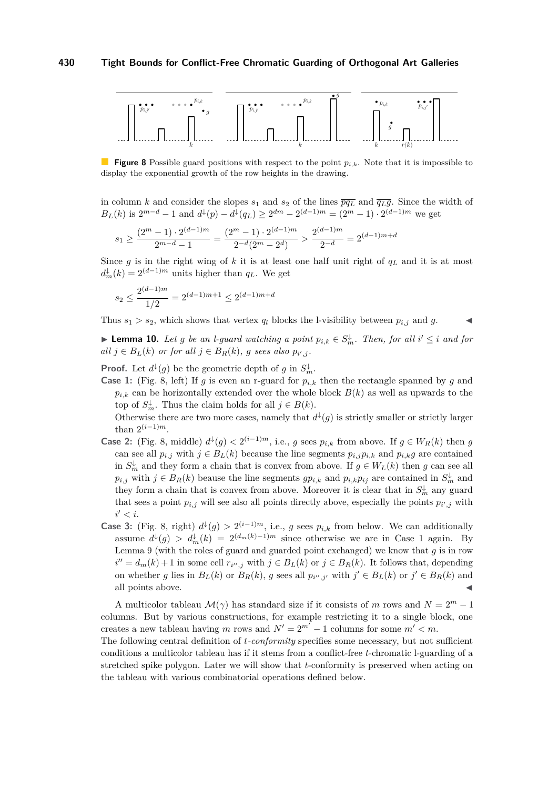<span id="page-9-0"></span>

**Figure 8** Possible guard positions with respect to the point  $p_{i,k}$ . Note that it is impossible to display the exponential growth of the row heights in the drawing.

in column *k* and consider the slopes  $s_1$  and  $s_2$  of the lines  $\overline{pq}_L$  and  $\overline{q}_L\overline{g}$ . Since the width of  $B_L(k)$  is  $2^{m-d} - 1$  and  $d^{\downarrow}(p) - d^{\downarrow}(q_L) \geq 2^{dm} - 2^{(d-1)m} = (2^m - 1) \cdot 2^{(d-1)m}$  we get

$$
s_1 \ge \frac{(2^m - 1) \cdot 2^{(d-1)m}}{2^{m-d} - 1} = \frac{(2^m - 1) \cdot 2^{(d-1)m}}{2^{-d}(2^m - 2^d)} > \frac{2^{(d-1)m}}{2^{-d}} = 2^{(d-1)m + d}
$$

Since *g* is in the right wing of *k* it is at least one half unit right of *q<sup>L</sup>* and it is at most  $d_m^{\downarrow}(k) = 2^{(d-1)m}$  units higher than  $q_L$ . We get

$$
s_2 \le \frac{2^{(d-1)m}}{1/2} = 2^{(d-1)m+1} \le 2^{(d-1)m+d}
$$

Thus  $s_1 > s_2$ , which shows that vertex  $q_l$  blocks the l-visibility between  $p_{i,j}$  and  $g$ .

<span id="page-9-1"></span>**Example 10.** Let g be an l-guard watching a point  $p_{i,k} \in S_m^{\downarrow}$ . Then, for all  $i' \leq i$  and for *all j* ∈ *B*<sub>*L*</sub>(*k*) *or for all j* ∈ *B*<sub>*R*</sub>(*k*)*, g sees also*  $p_{i',j}$ *.* 

**Proof.** Let  $d^{\downarrow}(g)$  be the geometric depth of *g* in  $S_m^{\downarrow}$ .

**Case 1:** (Fig. [8,](#page-9-0) left) If *g* is even an r-guard for  $p_{i,k}$  then the rectangle spanned by *g* and  $p_{i,k}$  can be horizontally extended over the whole block  $B(k)$  as well as upwards to the top of  $S_m^{\downarrow}$ . Thus the claim holds for all  $j \in B(k)$ .

Otherwise there are two more cases, namely that  $d^{\downarrow}(g)$  is strictly smaller or strictly larger than  $2^{(i-1)m}$ .

- **Case 2:** (Fig. [8,](#page-9-0) middle)  $d^{\downarrow}(g) < 2^{(i-1)m}$ , i.e., *g* sees  $p_{i,k}$  from above. If  $g \in W_R(k)$  then *g* can see all  $p_{i,j}$  with  $j \in B_L(k)$  because the line segments  $p_{i,j}p_{i,k}$  and  $p_{i,k}g$  are contained in  $S_m^{\downarrow}$  and they form a chain that is convex from above. If  $g \in W_L(k)$  then *g* can see all  $p_{i,j}$  with  $j \in B_R(k)$  beause the line segments  $gp_{i,k}$  and  $p_{i,k}p_{ij}$  are contained in  $S_m^{\downarrow}$  and they form a chain that is convex from above. Moreover it is clear that in  $S_m^{\downarrow}$  any guard that sees a point  $p_{i,j}$  will see also all points directly above, especially the points  $p_{i',j}$  with  $i' < i$ .
- **Case 3:** (Fig. [8,](#page-9-0) right)  $d^{\downarrow}(g) > 2^{(i-1)m}$ , i.e., *g* sees  $p_{i,k}$  from below. We can additionally assume  $d^{\downarrow}(g) > d_m^{\downarrow}(k) = 2^{(d_m(k)-1)m}$  since otherwise we are in Case 1 again. By Lemma [9](#page-8-1) (with the roles of guard and guarded point exchanged) we know that *g* is in row *i*<sup> $'$ </sup> = *d<sub>m</sub>*(*k*) + 1 in some cell *r*<sub>*i*'',*j*</sub> with *j* ∈ *B<sub>L</sub>*(*k*) or *j* ∈ *B<sub>R</sub>*(*k*). It follows that, depending on whether g lies in  $B_L(k)$  or  $B_R(k)$ , g sees all  $p_{i'',j'}$  with  $j' \in B_L(k)$  or  $j' \in B_R(k)$  and all points above.

A multicolor tableau  $\mathcal{M}(\gamma)$  has standard size if it consists of *m* rows and  $N = 2^m - 1$ columns. But by various constructions, for example restricting it to a single block, one creates a new tableau having *m* rows and  $N' = 2^{m'} - 1$  columns for some  $m' < m$ .

The following central definition of *t-conformity* specifies some necessary, but not sufficient conditions a multicolor tableau has if it stems from a conflict-free *t*-chromatic l-guarding of a stretched spike polygon. Later we will show that *t*-conformity is preserved when acting on the tableau with various combinatorial operations defined below.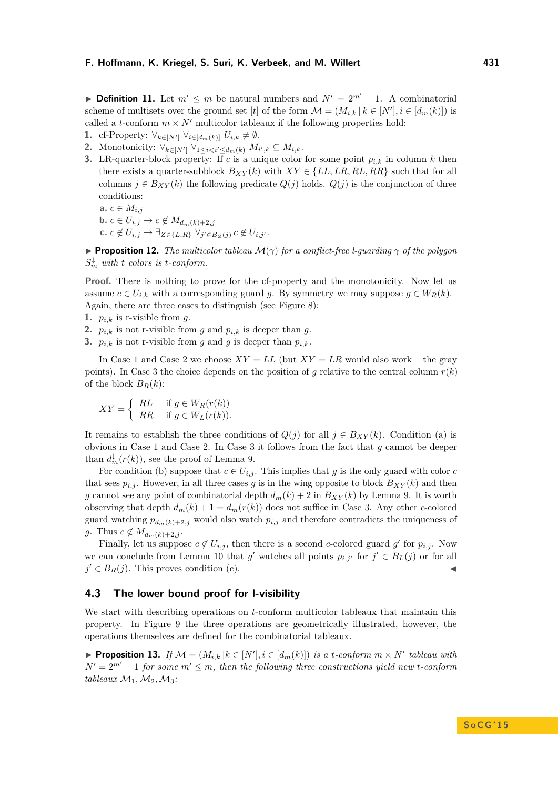► **Definition 11.** Let  $m' \leq m$  be natural numbers and  $N' = 2^{m'} - 1$ . A combinatorial scheme of multisets over the ground set [*t*] of the form  $\mathcal{M} = (M_{i,k} | k \in [N'], i \in [d_m(k)])$  is called a *t*-conform  $m \times N'$  multicolor tableaux if the following properties hold:

- **1.** cf-Property:  $\forall_{k \in [N']} \forall_{i \in [d_m(k)]} U_{i,k} \neq \emptyset$ .
- 2. Monotonicity:  $\forall_{k \in [N']} \forall_{1 \leq i < i' \leq d_m(k)} M_{i',k} \subseteq M_{i,k}.$
- **3.** LR-quarter-block property: If *c* is a unique color for some point  $p_{i,k}$  in column *k* then there exists a quarter-subblock  $B_{XY}(k)$  with  $XY \in \{LL, LR, RL, RR\}$  such that for all columns  $j \in B_{XY}(k)$  the following predicate  $Q(j)$  holds.  $Q(j)$  is the conjunction of three conditions: **a.**  $c \in M_{i,j}$ 
	- **b.**  $c \in U_{i,j} \to c \notin M_{d_m(k)+2,j}$  $c$ ,  $c \notin U_{i,j} \rightarrow \exists_{Z \in \{L,R\}} \ \forall_{j' \in B_Z(j)} \ c \notin U_{i,j'}.$

<span id="page-10-0"></span>**Proposition 12.** *The multicolor tableau*  $\mathcal{M}(\gamma)$  *for a conflict-free l-guarding*  $\gamma$  *of the polygon*  $S_m^{\downarrow}$  *with t colors is t-conform.* 

Proof. There is nothing to prove for the cf-property and the monotonicity. Now let us assume  $c \in U_{i,k}$  with a corresponding guard g. By symmetry we may suppose  $g \in W_R(k)$ . Again, there are three cases to distinguish (see Figure [8\)](#page-9-0):

- **1.**  $p_{i,k}$  is r-visible from g.
- **2.**  $p_{i,k}$  is not r-visible from *g* and  $p_{i,k}$  is deeper than *g*.
- **3.**  $p_{i,k}$  is not r-visible from *g* and *g* is deeper than  $p_{i,k}$ .

In Case 1 and Case 2 we choose  $XY = LL$  (but  $XY = LR$  would also work – the gray points). In Case 3 the choice depends on the position of *q* relative to the central column  $r(k)$ of the block  $B_R(k)$ :

$$
XY = \begin{cases} RL & \text{if } g \in W_R(r(k)) \\ RR & \text{if } g \in W_L(r(k)). \end{cases}
$$

It remains to establish the three conditions of  $Q(j)$  for all  $j \in B_{XY}(k)$ . Condition (a) is obvious in Case 1 and Case 2. In Case 3 it follows from the fact that *g* cannot be deeper than  $d_m^{\downarrow}(r(k))$ , see the proof of Lemma [9.](#page-8-1)

For condition (b) suppose that  $c \in U_{i,j}$ . This implies that g is the only guard with color c that sees  $p_{i,j}$ . However, in all three cases g is in the wing opposite to block  $B_{XY}(k)$  and then *g* cannot see any point of combinatorial depth  $d_m(k) + 2$  in  $B_{XY}(k)$  by Lemma [9.](#page-8-1) It is worth observing that depth  $d_m(k) + 1 = d_m(r(k))$  does not suffice in Case 3. Any other *c*-colored guard watching  $p_{d_m(k)+2,j}$  would also watch  $p_{i,j}$  and therefore contradicts the uniqueness of *g*. Thus  $c \notin M_{d_m(k)+2,j}$ .

Finally, let us suppose  $c \notin U_{i,j}$ , then there is a second *c*-colored guard  $g'$  for  $p_{i,j}$ . Now we can conclude from Lemma [10](#page-9-1) that  $g'$  watches all points  $p_{i,j'}$  for  $j' \in B_L(j)$  or for all  $j' \in B_R(j)$ . This proves condition (c).

# **4.3 The lower bound proof for l-visibility**

We start with describing operations on *t*-conform multicolor tableaux that maintain this property. In Figure [9](#page-11-0) the three operations are geometrically illustrated, however, the operations themselves are defined for the combinatorial tableaux.

<span id="page-10-1"></span>▶ **Proposition 13.** *If*  $M = (M_{i,k} | k \in [N'], i \in [d_m(k)])$  *is a t-conform*  $m \times N'$  *tableau with*  $N' = 2^{m'} - 1$  *for some*  $m' \leq m$ *, then the following three constructions yield new <i>t-conform tableaux*  $M_1, M_2, M_3$ *:*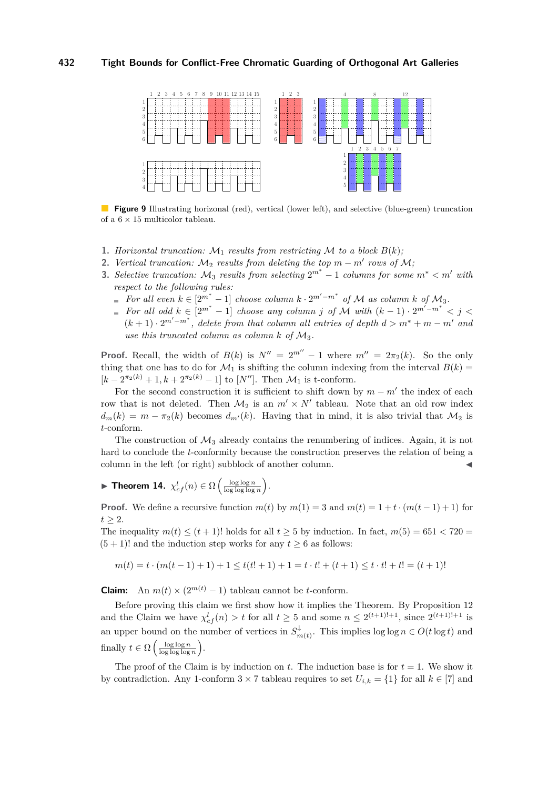<span id="page-11-0"></span>

**Figure 9** Illustrating horizonal (red), vertical (lower left), and selective (blue-green) truncation of a  $6 \times 15$  multicolor tableau.

- **1.** *Horizontal truncation:*  $M_1$  *results from restricting*  $M$  *to a block*  $B(k)$ *;*
- **2.** *Vertical truncation:*  $M_2$  *results from deleting the top*  $m m'$  *rows of*  $M$ *;*
- **3.** *Selective truncation:*  $M_3$  *results from selecting*  $2^{m^*} 1$  *columns for some*  $m^* < m'$  *with respect to the following rules:*
	- *For all even*  $k \in [2^{m^*} 1]$  *choose column*  $k \cdot 2^{m'-m^*}$  *of*  $M$  *as column*  $k$  *of*  $M_3$ *.*
	- *For all odd*  $k \in [2^{m^*} 1]$  *choose any column j of*  $M$  *with*  $(k-1) \cdot 2^{m'-m^*} < j <$  $(k+1) \cdot 2^{m'-m^*}$ , delete from that column all entries of depth  $d > m^* + m - m'$  and *use this truncated column as column*  $k$  *of*  $M_3$ .

**Proof.** Recall, the width of  $B(k)$  is  $N'' = 2^{m''} - 1$  where  $m'' = 2\pi_2(k)$ . So the only thing that one has to do for  $\mathcal{M}_1$  is shifting the column indexing from the interval  $B(k)$  $[k - 2^{\pi_2(k)} + 1, k + 2^{\pi_2(k)} - 1]$  to  $[N'']$ . Then  $\mathcal{M}_1$  is t-conform.

For the second construction it is sufficient to shift down by  $m - m'$  the index of each row that is not deleted. Then  $M_2$  is an  $m' \times N'$  tableau. Note that an old row index  $d_m(k) = m - \pi_2(k)$  becomes  $d_{m'}(k)$ . Having that in mind, it is also trivial that  $\mathcal{M}_2$  is *t*-conform.

The construction of  $\mathcal{M}_3$  already contains the renumbering of indices. Again, it is not hard to conclude the *t*-conformity because the construction preserves the relation of being a column in the left (or right) subblock of another column.

**Fineorem 14.**  $\chi^l_{cf}(n) \in \Omega\left(\frac{\log \log n}{\log \log \log n}\right)$ .

**Proof.** We define a recursive function  $m(t)$  by  $m(1) = 3$  and  $m(t) = 1 + t \cdot (m(t-1) + 1)$  for  $t > 2$ .

The inequality  $m(t) \leq (t+1)!$  holds for all  $t \geq 5$  by induction. In fact,  $m(5) = 651 < 720$  $(5 + 1)!$  and the induction step works for any  $t \geq 6$  as follows:

$$
m(t) = t \cdot (m(t-1)+1) + 1 \le t(t!+1) + 1 = t \cdot t! + (t+1) \le t \cdot t! + t! = (t+1)!
$$

**Claim:** An  $m(t) \times (2^{m(t)} - 1)$  tableau cannot be *t*-conform.

Before proving this claim we first show how it implies the Theorem. By Proposition [12](#page-10-0) and the Claim we have  $\chi^l_{cf}(n) > t$  for all  $t \geq 5$  and some  $n \leq 2^{(t+1)!+1}$ , since  $2^{(t+1)!+1}$  is an upper bound on the number of vertices in  $S_n^{\downarrow}$ <sup> $\sharp$ </sup><sub>*m*(*t*)</sub>. This implies log log *n*  $\in$  *O*(*t* log *t*) and finally  $t \in \Omega \left( \frac{\log \log n}{\log \log \log n} \right)$ .

The proof of the Claim is by induction on  $t$ . The induction base is for  $t = 1$ . We show it by contradiction. Any 1-conform  $3 \times 7$  tableau requires to set  $U_{i,k} = \{1\}$  for all  $k \in [7]$  and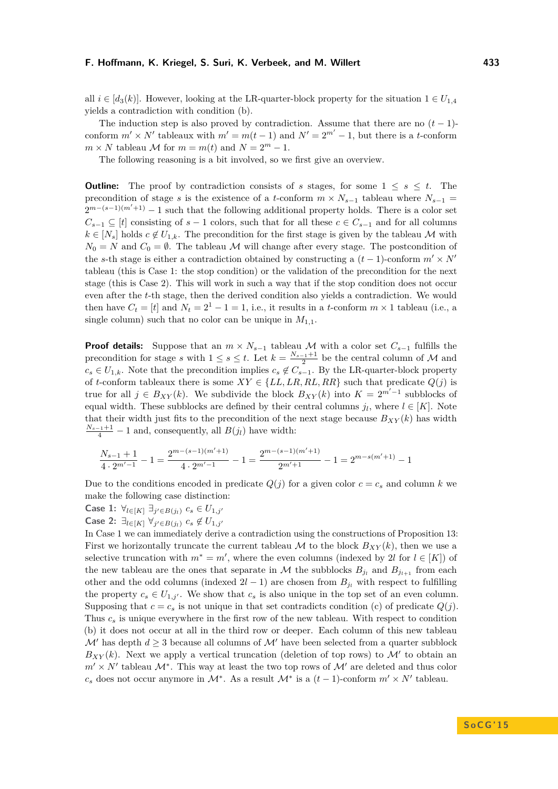The induction step is also proved by contradiction. Assume that there are no  $(t-1)$ conform  $m' \times N'$  tableaux with  $m' = m(t-1)$  and  $N' = 2^{m'} - 1$ , but there is a *t*-conform  $m \times N$  tableau *M* for  $m = m(t)$  and  $N = 2^m - 1$ .

The following reasoning is a bit involved, so we first give an overview.

**Outline:** The proof by contradiction consists of *s* stages, for some  $1 \leq s \leq t$ . The precondition of stage *s* is the existence of a *t*-conform  $m \times N_{s-1}$  tableau where  $N_{s-1}$  =  $2^{m-(s-1)(m'+1)}-1$  such that the following additional property holds. There is a color set  $C_{s-1} \subseteq [t]$  consisting of  $s-1$  colors, such that for all these  $c \in C_{s-1}$  and for all columns  $k \in [N_s]$  holds  $c \notin U_{1,k}$ . The precondition for the first stage is given by the tableau M with  $N_0 = N$  and  $C_0 = \emptyset$ . The tableau M will change after every stage. The postcondition of the *s*-th stage is either a contradiction obtained by constructing a  $(t-1)$ -conform  $m' \times N'$ tableau (this is Case 1: the stop condition) or the validation of the precondition for the next stage (this is Case 2). This will work in such a way that if the stop condition does not occur even after the *t*-th stage, then the derived condition also yields a contradiction. We would then have  $C_t = [t]$  and  $N_t = 2^1 - 1 = 1$ , i.e., it results in a *t*-conform  $m \times 1$  tableau (i.e., a single column) such that no color can be unique in  $M_{1,1}$ .

**Proof details:** Suppose that an  $m \times N_{s-1}$  tableau M with a color set  $C_{s-1}$  fulfills the precondition for stage *s* with  $1 \leq s \leq t$ . Let  $k = \frac{N_{s-1}+1}{2}$  be the central column of M and  $c_s \in U_{1,k}$ . Note that the precondition implies  $c_s \notin C_{s-1}$ . By the LR-quarter-block property of *t*-conform tableaux there is some  $XY \in \{LL, LR, RL, RR\}$  such that predicate  $Q(j)$  is true for all  $j \in B_{XY}(k)$ . We subdivide the block  $B_{XY}(k)$  into  $K = 2^{m'-1}$  subblocks of equal width. These subblocks are defined by their central columns  $j_l$ , where  $l \in [K]$ . Note that their width just fits to the precondition of the next stage because  $B_{XY}(k)$  has width  $\frac{N_{s-1}+1}{4}$  – 1 and, consequently, all *B*(*j*<sub>*l*</sub>) have width:

$$
\frac{N_{s-1}+1}{4\cdot 2^{m'-1}}-1=\frac{2^{m-(s-1)(m'+1)}}{4\cdot 2^{m'-1}}-1=\frac{2^{m-(s-1)(m'+1)}}{2^{m'+1}}-1=2^{m-s(m'+1)}-1
$$

Due to the conditions encoded in predicate  $Q(j)$  for a given color  $c = c_s$  and column k we make the following case distinction:

- **Case 1:**  $\forall i \in [K]}$  ∃*j* $\in B(j_i)$  *c*<sub>*s*</sub> ∈ *U*<sub>1*,j*</sub>
- $\textsf{Case 2: } ∃_{l ∈ [K]} ∅_{j' ∈ B(j_l)} c_s ∉ U_{1,j'}$

In Case 1 we can immediately derive a contradiction using the constructions of Proposition [13:](#page-10-1) First we horizontally truncate the current tableau  $M$  to the block  $B_{XY}(k)$ , then we use a selective truncation with  $m^* = m'$ , where the even columns (indexed by 2*l* for  $l \in [K]$ ) of the new tableau are the ones that separate in  $M$  the subblocks  $B_{j_l}$  and  $B_{j_{l+1}}$  from each other and the odd columns (indexed  $2l - 1$ ) are chosen from  $B_{j_l}$  with respect to fulfilling the property  $c_s \in U_{1,j}$ . We show that  $c_s$  is also unique in the top set of an even column. Supposing that  $c = c_s$  is not unique in that set contradicts condition (c) of predicate  $Q(j)$ . Thus *c<sup>s</sup>* is unique everywhere in the first row of the new tableau. With respect to condition (b) it does not occur at all in the third row or deeper. Each column of this new tableau  $\mathcal{M}'$  has depth  $d \geq 3$  because all columns of  $\mathcal{M}'$  have been selected from a quarter subblock  $B_{XY}(k)$ . Next we apply a vertical truncation (deletion of top rows) to  $\mathcal{M}'$  to obtain an  $m' \times N'$  tableau  $\mathcal{M}^*$ . This way at least the two top rows of  $\mathcal{M}'$  are deleted and thus color *c<sub>s</sub>* does not occur anymore in  $M^*$ . As a result  $M^*$  is a  $(t − 1)$ -conform  $m' \times N'$  tableau.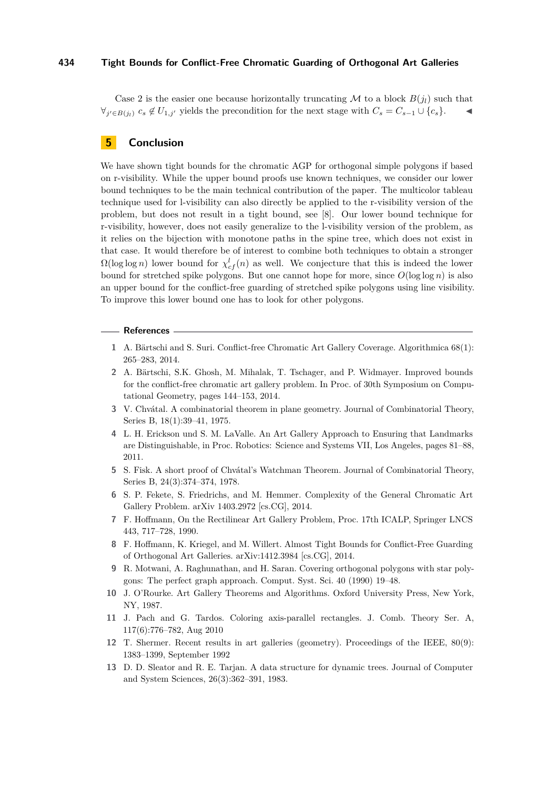Case 2 is the easier one because horizontally truncating M to a block  $B(j_l)$  such that  $\forall j' \in B(j_l) \ c_s \notin U_{1,j'}$  yields the precondition for the next stage with  $C_s = C_{s-1} \cup \{c_s\}.$   $\blacktriangleleft$ 

# **5 Conclusion**

We have shown tight bounds for the chromatic AGP for orthogonal simple polygons if based on r-visibility. While the upper bound proofs use known techniques, we consider our lower bound techniques to be the main technical contribution of the paper. The multicolor tableau technique used for l-visibility can also directly be applied to the r-visibility version of the problem, but does not result in a tight bound, see [\[8\]](#page-13-12). Our lower bound technique for r-visibility, however, does not easily generalize to the l-visibility version of the problem, as it relies on the bijection with monotone paths in the spine tree, which does not exist in that case. It would therefore be of interest to combine both techniques to obtain a stronger  $\Omega(\log \log n)$  lower bound for  $\chi^l_{cf}(n)$  as well. We conjecture that this is indeed the lower bound for stretched spike polygons. But one cannot hope for more, since *O*(log log *n*) is also an upper bound for the conflict-free guarding of stretched spike polygons using line visibility. To improve this lower bound one has to look for other polygons.

#### **References**

- <span id="page-13-5"></span>**1** A. Bärtschi and S. Suri. Conflict-free Chromatic Art Gallery Coverage. Algorithmica 68(1): 265–283, 2014.
- <span id="page-13-6"></span>**2** A. Bärtschi, S.K. Ghosh, M. Mihalak, T. Tschager, and P. Widmayer. Improved bounds for the conflict-free chromatic art gallery problem. In Proc. of 30th Symposium on Computational Geometry, pages 144–153, 2014.
- <span id="page-13-0"></span>**3** V. Chvátal. A combinatorial theorem in plane geometry. Journal of Combinatorial Theory, Series B, 18(1):39–41, 1975.
- <span id="page-13-4"></span>**4** L. H. Erickson und S. M. LaValle. An Art Gallery Approach to Ensuring that Landmarks are Distinguishable, in Proc. Robotics: Science and Systems VII, Los Angeles, pages 81–88, 2011.
- <span id="page-13-3"></span>**5** S. Fisk. A short proof of Chvátal's Watchman Theorem. Journal of Combinatorial Theory, Series B, 24(3):374–374, 1978.
- <span id="page-13-7"></span>**6** S. P. Fekete, S. Friedrichs, and M. Hemmer. Complexity of the General Chromatic Art Gallery Problem. arXiv 1403.2972 [cs.CG], 2014.
- <span id="page-13-9"></span>**7** F. Hoffmann, On the Rectilinear Art Gallery Problem, Proc. 17th ICALP, Springer LNCS 443, 717–728, 1990.
- <span id="page-13-12"></span>**8** F. Hoffmann, K. Kriegel, and M. Willert. Almost Tight Bounds for Conflict-Free Guarding of Orthogonal Art Galleries. arXiv:1412.3984 [cs.CG], 2014.
- <span id="page-13-10"></span>**9** R. Motwani, A. Raghunathan, and H. Saran. Covering orthogonal polygons with star polygons: The perfect graph approach. Comput. Syst. Sci. 40 (1990) 19–48.
- <span id="page-13-1"></span>**10** J. O'Rourke. Art Gallery Theorems and Algorithms. Oxford University Press, New York, NY, 1987.
- <span id="page-13-8"></span>**11** J. Pach and G. Tardos. Coloring axis-parallel rectangles. J. Comb. Theory Ser. A, 117(6):776–782, Aug 2010
- <span id="page-13-2"></span>**12** T. Shermer. Recent results in art galleries (geometry). Proceedings of the IEEE, 80(9): 1383–1399, September 1992
- <span id="page-13-11"></span>**13** D. D. Sleator and R. E. Tarjan. A data structure for dynamic trees. Journal of Computer and System Sciences, 26(3):362–391, 1983.